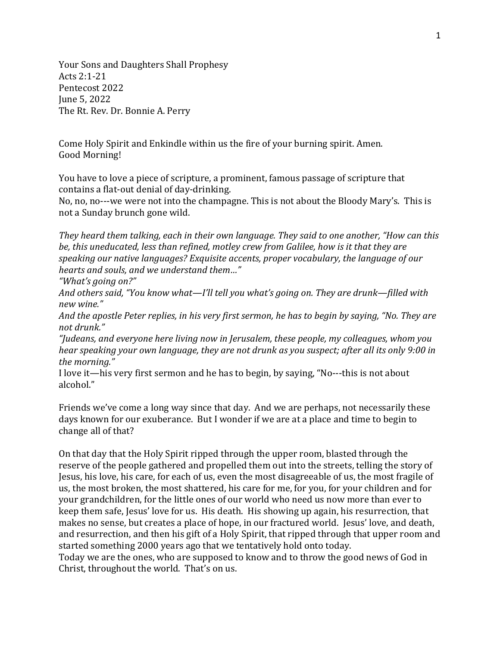Your Sons and Daughters Shall Prophesy Acts 2:1-21 Pentecost 2022 June 5, 2022 The Rt. Rev. Dr. Bonnie A. Perry

Come Holy Spirit and Enkindle within us the fire of your burning spirit. Amen. Good Morning!

You have to love a piece of scripture, a prominent, famous passage of scripture that contains a flat-out denial of day-drinking.

No, no, no---we were not into the champagne. This is not about the Bloody Mary's. This is not a Sunday brunch gone wild.

*They heard them talking, each in their own language. They said to one another, "How can this be, this uneducated, less than refined, motley crew from Galilee, how is it that they are speaking our native languages? Exquisite accents, proper vocabulary, the language of our hearts and souls, and we understand them…"*

*"What's going on?"*

*And others said, "You know what—I'll tell you what's going on. They are drunk—filled with new wine."*

*And the apostle Peter replies, in his very first sermon, he has to begin by saying, "No. They are not drunk."*

*"Judeans, and everyone here living now in Jerusalem, these people, my colleagues, whom you hear speaking your own language, they are not drunk as you suspect; after all its only 9:00 in the morning."*

I love it—his very first sermon and he has to begin, by saying, "No---this is not about alcohol."

Friends we've come a long way since that day. And we are perhaps, not necessarily these days known for our exuberance. But I wonder if we are at a place and time to begin to change all of that?

On that day that the Holy Spirit ripped through the upper room, blasted through the reserve of the people gathered and propelled them out into the streets, telling the story of Jesus, his love, his care, for each of us, even the most disagreeable of us, the most fragile of us, the most broken, the most shattered, his care for me, for you, for your children and for your grandchildren, for the little ones of our world who need us now more than ever to keep them safe, Jesus' love for us. His death. His showing up again, his resurrection, that makes no sense, but creates a place of hope, in our fractured world. Jesus' love, and death, and resurrection, and then his gift of a Holy Spirit, that ripped through that upper room and started something 2000 years ago that we tentatively hold onto today.

Today we are the ones, who are supposed to know and to throw the good news of God in Christ, throughout the world. That's on us.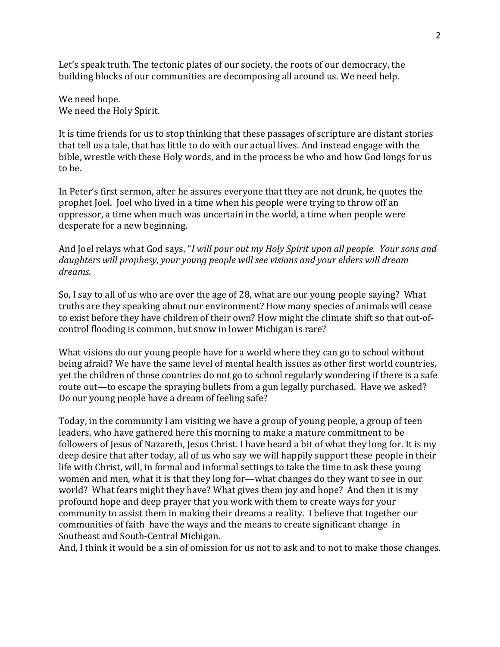Let's speak truth. The tectonic plates of our society, the roots of our democracy, the building blocks of our communities are decomposing all around us. We need help.

We need hope. We need the Holy Spirit.

It is time friends for us to stop thinking that these passages of scripture are distant stories that tell us a tale, that has little to do with our actual lives. And instead engage with the bible, wrestle with these Holy words, and in the process be who and how God longs for us to be.

In Peter's first sermon, after he assures everyone that they are not drunk, he quotes the prophet Joel. Joel who lived in a time when his people were trying to throw off an oppressor, a time when much was uncertain in the world, a time when people were desperate for a new beginning.

And Joel relays what God says, "*I will pour out my Holy Spirit upon all people. Your sons and daughters will prophesy, your young people will see visions and your elders will dream dreams.* 

So, I say to all of us who are over the age of 28, what are our young people saying? What truths are they speaking about our environment? How many species of animals will cease to exist before they have children of their own? How might the climate shift so that out-ofcontrol flooding is common, but snow in lower Michigan is rare?

What visions do our young people have for a world where they can go to school without being afraid? We have the same level of mental health issues as other first world countries, yet the children of those countries do not go to school regularly wondering if there is a safe route out—to escape the spraying bullets from a gun legally purchased. Have we asked? Do our young people have a dream of feeling safe?

Today, in the community I am visiting we have a group of young people, a group of teen leaders, who have gathered here this morning to make a mature commitment to be followers of Jesus of Nazareth, Jesus Christ. I have heard a bit of what they long for. It is my deep desire that after today, all of us who say we will happily support these people in their life with Christ, will, in formal and informal settings to take the time to ask these young women and men, what it is that they long for—what changes do they want to see in our world? What fears might they have? What gives them joy and hope? And then it is my profound hope and deep prayer that you work with them to create ways for your community to assist them in making their dreams a reality. I believe that together our communities of faith have the ways and the means to create significant change in Southeast and South-Central Michigan.

And, I think it would be a sin of omission for us not to ask and to not to make those changes.